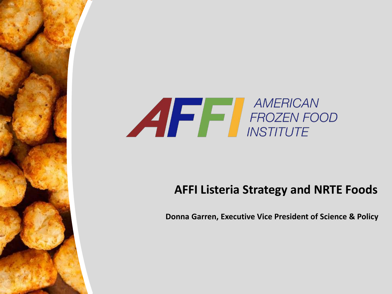

#### **AFFI Listeria Strategy and NRTE Foods**

**Donna Garren, Executive Vice President of Science & Policy**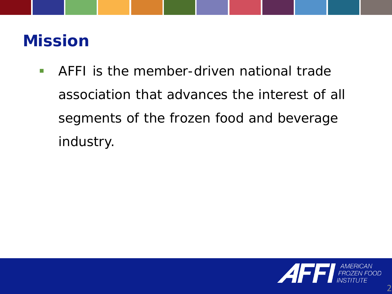#### **Mission**

 AFFI is the member-driven national trade association that advances the interest of all segments of the frozen food and beverage industry.

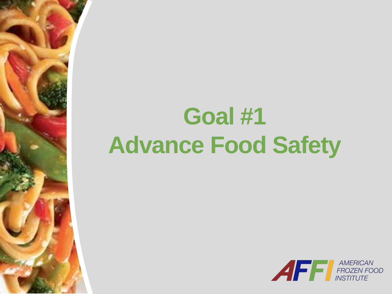# **Goal #1 Advance Food Safety**

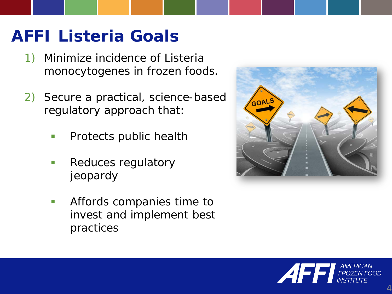## **AFFI** *Listeria* **Goals**

- 1) Minimize incidence of *Listeria monocytogenes* in frozen foods.
- 2) Secure a practical, science-based regulatory approach that:
	- **Protects public health**
	- **Reduces regulatory** jeopardy
	- **Affords companies time to** invest and implement best practices



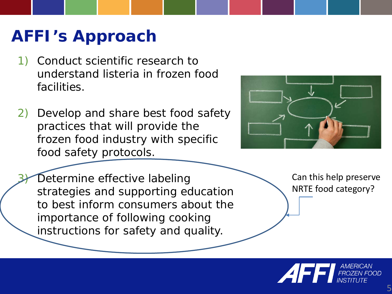#### **AFFI's Approach**

- 1) Conduct scientific research to understand *listeria* in frozen food facilities.
- 2) Develop and share best food safety practices that will provide the frozen food industry with specific food safety protocols.



Determine effective labeling strategies and supporting education to best inform consumers about the importance of following cooking instructions for safety and quality.

Can this help preserve NRTE food category?

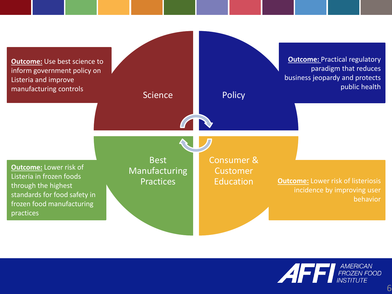

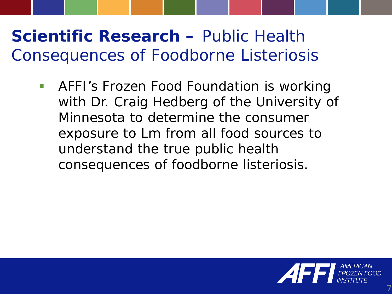## **Scientific Research –** *Public Health Consequences of Foodborne Listeriosis*

**AFFI's Frozen Food Foundation is working** with Dr. Craig Hedberg of the University of Minnesota to determine the consumer exposure to *Lm* from all food sources to understand the true public health consequences of foodborne listeriosis.

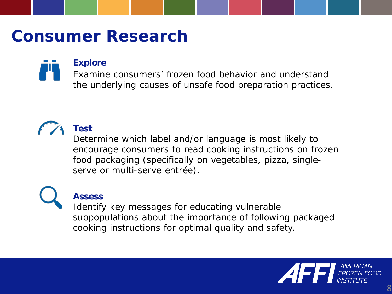#### **Consumer Research**

#### **Explore**

Examine consumers' frozen food behavior and understand the underlying causes of unsafe food preparation practices.



#### **Test**

Determine which label and/or language is most likely to encourage consumers to read cooking instructions on frozen food packaging (specifically on vegetables, pizza, singleserve or multi-serve entrée).

#### **Assess**

Identify key messages for educating vulnerable subpopulations about the importance of following packaged cooking instructions for optimal quality and safety.